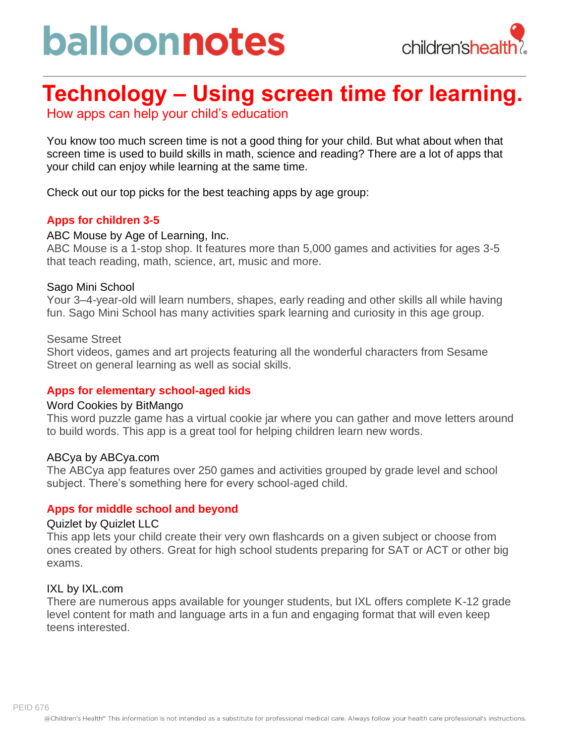# balloonnotes



### **Technology – Using screen time for learning.**

How apps can help your child's education

You know too much screen time is not a good thing for your child. But what about when that screen time is used to build skills in math, science and reading? There are a lot of apps that your child can enjoy while learning at the same time.

Check out our top picks for the best teaching apps by age group:

#### **Apps for children 3-5**

#### ABC Mouse by Age of Learning, Inc.

ABC Mouse is a 1-stop shop. It features more than 5,000 games and activities for ages 3-5 that teach reading, math, science, art, music and more.

#### Sago Mini School

Your 3–4-year-old will learn numbers, shapes, early reading and other skills all while having fun. Sago Mini School has many activities spark learning and curiosity in this age group.

#### Sesame Street

Short videos, games and art projects featuring all the wonderful characters from Sesame Street on general learning as well as social skills.

#### **Apps for elementary school-aged kids**

#### Word Cookies by BitMango

This word puzzle game has a virtual cookie jar where you can gather and move letters around to build words. This app is a great tool for helping children learn new words.

#### ABCya by ABCya.com

The ABCya app features over 250 games and activities grouped by grade level and school subject. There's something here for every school-aged child.

#### **Apps for middle school and beyond**

#### Quizlet by Quizlet LLC

This app lets your child create their very own flashcards on a given subject or choose from ones created by others. Great for high school students preparing for SAT or ACT or other big exams.

#### IXL by IXL.com

There are numerous apps available for younger students, but IXL offers complete K-12 grade level content for math and language arts in a fun and engaging format that will even keep teens interested.